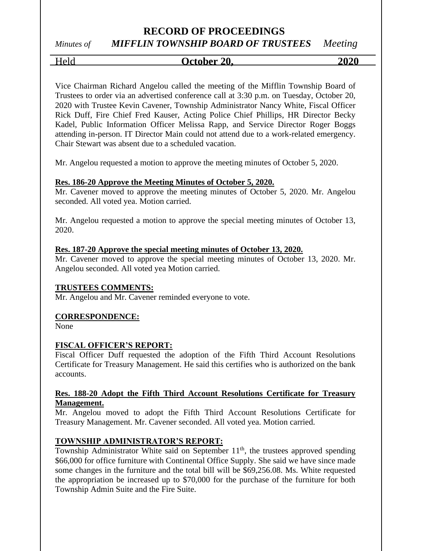# *Minutes of MIFFLIN TOWNSHIP BOARD OF TRUSTEES Meeting*

## Held **October 20, 2020**

Vice Chairman Richard Angelou called the meeting of the Mifflin Township Board of Trustees to order via an advertised conference call at 3:30 p.m. on Tuesday, October 20, 2020 with Trustee Kevin Cavener, Township Administrator Nancy White, Fiscal Officer Rick Duff, Fire Chief Fred Kauser, Acting Police Chief Phillips, HR Director Becky Kadel, Public Information Officer Melissa Rapp, and Service Director Roger Boggs attending in-person. IT Director Main could not attend due to a work-related emergency. Chair Stewart was absent due to a scheduled vacation.

Mr. Angelou requested a motion to approve the meeting minutes of October 5, 2020.

### **Res. 186-20 Approve the Meeting Minutes of October 5, 2020.**

Mr. Cavener moved to approve the meeting minutes of October 5, 2020. Mr. Angelou seconded. All voted yea. Motion carried.

Mr. Angelou requested a motion to approve the special meeting minutes of October 13, 2020.

### **Res. 187-20 Approve the special meeting minutes of October 13, 2020.**

Mr. Cavener moved to approve the special meeting minutes of October 13, 2020. Mr. Angelou seconded. All voted yea Motion carried.

### **TRUSTEES COMMENTS:**

Mr. Angelou and Mr. Cavener reminded everyone to vote.

### **CORRESPONDENCE:**

None

### **FISCAL OFFICER'S REPORT:**

Fiscal Officer Duff requested the adoption of the Fifth Third Account Resolutions Certificate for Treasury Management. He said this certifies who is authorized on the bank accounts.

### **Res. 188-20 Adopt the Fifth Third Account Resolutions Certificate for Treasury Management.**

Mr. Angelou moved to adopt the Fifth Third Account Resolutions Certificate for Treasury Management. Mr. Cavener seconded. All voted yea. Motion carried.

### **TOWNSHIP ADMINISTRATOR'S REPORT:**

Township Administrator White said on September  $11<sup>th</sup>$ , the trustees approved spending \$66,000 for office furniture with Continental Office Supply. She said we have since made some changes in the furniture and the total bill will be \$69,256.08. Ms. White requested the appropriation be increased up to \$70,000 for the purchase of the furniture for both Township Admin Suite and the Fire Suite.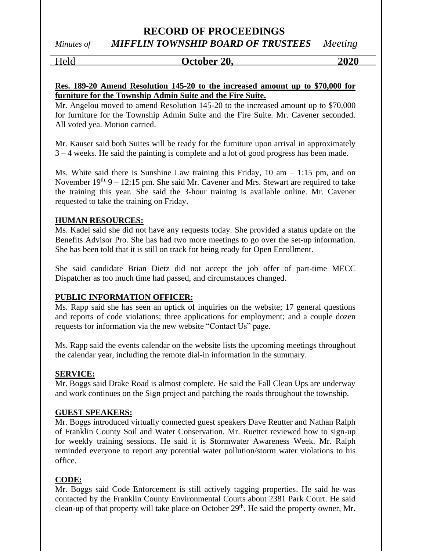### **RECORD OF PROCEEDINGS** *Minutes of MIFFLIN TOWNSHIP BOARD OF TRUSTEES Meeting*

### Held **October 20, 2020**

### **Res. 189-20 Amend Resolution 145-20 to the increased amount up to \$70,000 for furniture for the Township Admin Suite and the Fire Suite.**

Mr. Angelou moved to amend Resolution 145-20 to the increased amount up to \$70,000 for furniture for the Township Admin Suite and the Fire Suite. Mr. Cavener seconded. All voted yea. Motion carried.

Mr. Kauser said both Suites will be ready for the furniture upon arrival in approximately 3 – 4 weeks. He said the painting is complete and a lot of good progress has been made.

Ms. White said there is Sunshine Law training this Friday, 10 am – 1:15 pm, and on November  $19<sup>th</sup>$ ,  $9 - 12:15$  pm. She said Mr. Cavener and Mrs. Stewart are required to take the training this year. She said the 3-hour training is available online. Mr. Cavener requested to take the training on Friday.

### **HUMAN RESOURCES:**

Ms. Kadel said she did not have any requests today. She provided a status update on the Benefits Advisor Pro. She has had two more meetings to go over the set-up information. She has been told that it is still on track for being ready for Open Enrollment.

She said candidate Brian Dietz did not accept the job offer of part-time MECC Dispatcher as too much time had passed, and circumstances changed.

### **PUBLIC INFORMATION OFFICER:**

Ms. Rapp said she has seen an uptick of inquiries on the website; 17 general questions and reports of code violations; three applications for employment; and a couple dozen requests for information via the new website "Contact Us" page.

Ms. Rapp said the events calendar on the website lists the upcoming meetings throughout the calendar year, including the remote dial-in information in the summary.

### **SERVICE:**

Mr. Boggs said Drake Road is almost complete. He said the Fall Clean Ups are underway and work continues on the Sign project and patching the roads throughout the township.

#### **GUEST SPEAKERS:**

Mr. Boggs introduced virtually connected guest speakers Dave Reutter and Nathan Ralph of Franklin County Soil and Water Conservation. Mr. Ruetter reviewed how to sign-up for weekly training sessions. He said it is Stormwater Awareness Week. Mr. Ralph reminded everyone to report any potential water pollution/storm water violations to his office.

### **CODE:**

Mr. Boggs said Code Enforcement is still actively tagging properties. He said he was contacted by the Franklin County Environmental Courts about 2381 Park Court. He said clean-up of that property will take place on October  $29<sup>th</sup>$ . He said the property owner, Mr.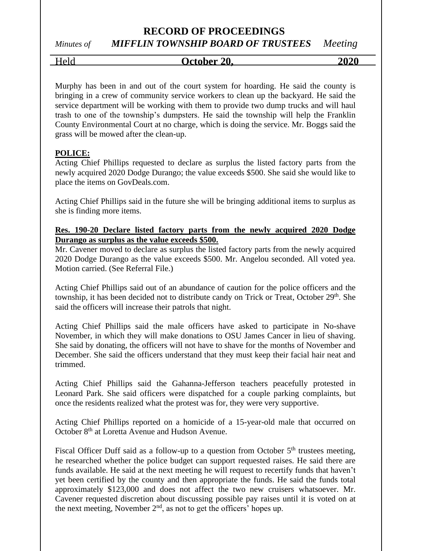# *Minutes of MIFFLIN TOWNSHIP BOARD OF TRUSTEES Meeting*

Held **October 20, 2020**

Murphy has been in and out of the court system for hoarding. He said the county is bringing in a crew of community service workers to clean up the backyard. He said the service department will be working with them to provide two dump trucks and will haul trash to one of the township's dumpsters. He said the township will help the Franklin County Environmental Court at no charge, which is doing the service. Mr. Boggs said the grass will be mowed after the clean-up.

### **POLICE:**

Acting Chief Phillips requested to declare as surplus the listed factory parts from the newly acquired 2020 Dodge Durango; the value exceeds \$500. She said she would like to place the items on GovDeals.com.

Acting Chief Phillips said in the future she will be bringing additional items to surplus as she is finding more items.

### **Res. 190-20 Declare listed factory parts from the newly acquired 2020 Dodge Durango as surplus as the value exceeds \$500.**

Mr. Cavener moved to declare as surplus the listed factory parts from the newly acquired 2020 Dodge Durango as the value exceeds \$500. Mr. Angelou seconded. All voted yea. Motion carried. (See Referral File.)

Acting Chief Phillips said out of an abundance of caution for the police officers and the township, it has been decided not to distribute candy on Trick or Treat, October 29<sup>th</sup>. She said the officers will increase their patrols that night.

Acting Chief Phillips said the male officers have asked to participate in No-shave November, in which they will make donations to OSU James Cancer in lieu of shaving. She said by donating, the officers will not have to shave for the months of November and December. She said the officers understand that they must keep their facial hair neat and trimmed.

Acting Chief Phillips said the Gahanna-Jefferson teachers peacefully protested in Leonard Park. She said officers were dispatched for a couple parking complaints, but once the residents realized what the protest was for, they were very supportive.

Acting Chief Phillips reported on a homicide of a 15-year-old male that occurred on October 8th at Loretta Avenue and Hudson Avenue.

Fiscal Officer Duff said as a follow-up to a question from October  $5<sup>th</sup>$  trustees meeting, he researched whether the police budget can support requested raises. He said there are funds available. He said at the next meeting he will request to recertify funds that haven't yet been certified by the county and then appropriate the funds. He said the funds total approximately \$123,000 and does not affect the two new cruisers whatsoever. Mr. Cavener requested discretion about discussing possible pay raises until it is voted on at the next meeting, November  $2<sup>nd</sup>$ , as not to get the officers' hopes up.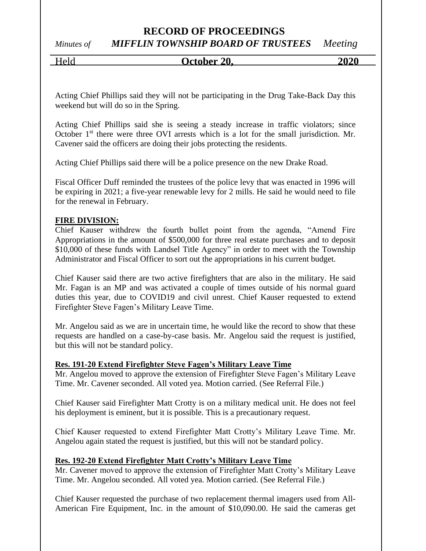# *Minutes of MIFFLIN TOWNSHIP BOARD OF TRUSTEES Meeting*

### Held **October 20, 2020**

Acting Chief Phillips said they will not be participating in the Drug Take-Back Day this weekend but will do so in the Spring.

Acting Chief Phillips said she is seeing a steady increase in traffic violators; since October  $1<sup>st</sup>$  there were three OVI arrests which is a lot for the small jurisdiction. Mr. Cavener said the officers are doing their jobs protecting the residents.

Acting Chief Phillips said there will be a police presence on the new Drake Road.

Fiscal Officer Duff reminded the trustees of the police levy that was enacted in 1996 will be expiring in 2021; a five-year renewable levy for 2 mills. He said he would need to file for the renewal in February.

### **FIRE DIVISION:**

Chief Kauser withdrew the fourth bullet point from the agenda, "Amend Fire Appropriations in the amount of \$500,000 for three real estate purchases and to deposit \$10,000 of these funds with Landsel Title Agency" in order to meet with the Township Administrator and Fiscal Officer to sort out the appropriations in his current budget.

Chief Kauser said there are two active firefighters that are also in the military. He said Mr. Fagan is an MP and was activated a couple of times outside of his normal guard duties this year, due to COVID19 and civil unrest. Chief Kauser requested to extend Firefighter Steve Fagen's Military Leave Time.

Mr. Angelou said as we are in uncertain time, he would like the record to show that these requests are handled on a case-by-case basis. Mr. Angelou said the request is justified, but this will not be standard policy.

### **Res. 191-20 Extend Firefighter Steve Fagen's Military Leave Time**

Mr. Angelou moved to approve the extension of Firefighter Steve Fagen's Military Leave Time. Mr. Cavener seconded. All voted yea. Motion carried. (See Referral File.)

Chief Kauser said Firefighter Matt Crotty is on a military medical unit. He does not feel his deployment is eminent, but it is possible. This is a precautionary request.

Chief Kauser requested to extend Firefighter Matt Crotty's Military Leave Time. Mr. Angelou again stated the request is justified, but this will not be standard policy.

### **Res. 192-20 Extend Firefighter Matt Crotty's Military Leave Time**

Mr. Cavener moved to approve the extension of Firefighter Matt Crotty's Military Leave Time. Mr. Angelou seconded. All voted yea. Motion carried. (See Referral File.)

Chief Kauser requested the purchase of two replacement thermal imagers used from All-American Fire Equipment, Inc. in the amount of \$10,090.00. He said the cameras get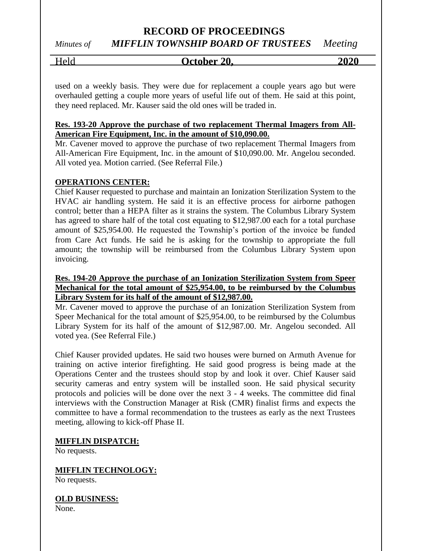### **RECORD OF PROCEEDINGS** *Minutes of MIFFLIN TOWNSHIP BOARD OF TRUSTEES Meeting*

# Held **October 20, 2020**

used on a weekly basis. They were due for replacement a couple years ago but were overhauled getting a couple more years of useful life out of them. He said at this point, they need replaced. Mr. Kauser said the old ones will be traded in.

### **Res. 193-20 Approve the purchase of two replacement Thermal Imagers from All-American Fire Equipment, Inc. in the amount of \$10,090.00.**

Mr. Cavener moved to approve the purchase of two replacement Thermal Imagers from All-American Fire Equipment, Inc. in the amount of \$10,090.00. Mr. Angelou seconded. All voted yea. Motion carried. (See Referral File.)

### **OPERATIONS CENTER:**

Chief Kauser requested to purchase and maintain an Ionization Sterilization System to the HVAC air handling system. He said it is an effective process for airborne pathogen control; better than a HEPA filter as it strains the system. The Columbus Library System has agreed to share half of the total cost equating to \$12,987.00 each for a total purchase amount of \$25,954.00. He requested the Township's portion of the invoice be funded from Care Act funds. He said he is asking for the township to appropriate the full amount; the township will be reimbursed from the Columbus Library System upon invoicing.

### **Res. 194-20 Approve the purchase of an Ionization Sterilization System from Speer Mechanical for the total amount of \$25,954.00, to be reimbursed by the Columbus Library System for its half of the amount of \$12,987.00.**

Mr. Cavener moved to approve the purchase of an Ionization Sterilization System from Speer Mechanical for the total amount of \$25,954.00, to be reimbursed by the Columbus Library System for its half of the amount of \$12,987.00. Mr. Angelou seconded. All voted yea. (See Referral File.)

Chief Kauser provided updates. He said two houses were burned on Armuth Avenue for training on active interior firefighting. He said good progress is being made at the Operations Center and the trustees should stop by and look it over. Chief Kauser said security cameras and entry system will be installed soon. He said physical security protocols and policies will be done over the next 3 - 4 weeks. The committee did final interviews with the Construction Manager at Risk (CMR) finalist firms and expects the committee to have a formal recommendation to the trustees as early as the next Trustees meeting, allowing to kick-off Phase II.

**MIFFLIN DISPATCH:**

No requests.

**MIFFLIN TECHNOLOGY:**

No requests.

**OLD BUSINESS:**

None.